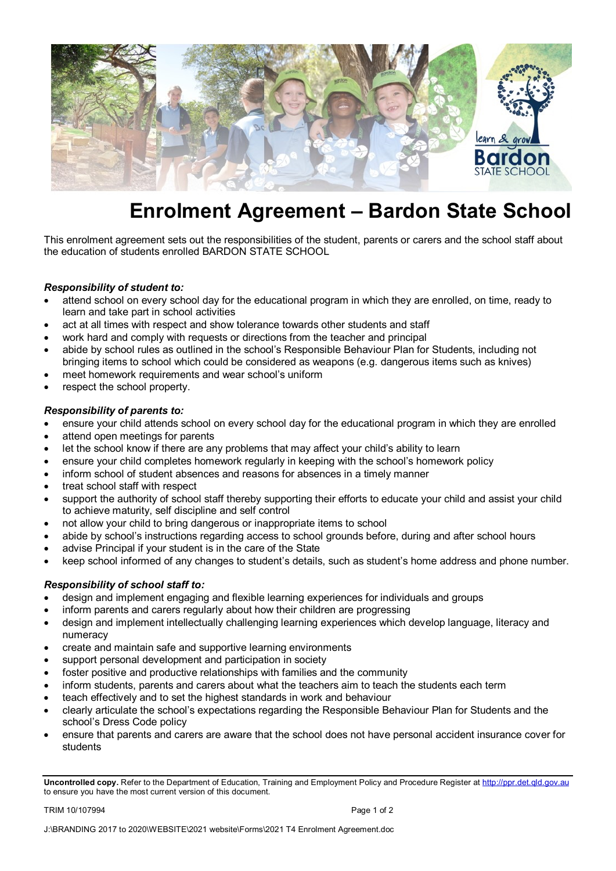

## **Enrolment Agreement – Bardon State School**

This enrolment agreement sets out the responsibilities of the student, parents or carers and the school staff about the education of students enrolled BARDON STATE SCHOOL

## *Responsibility of student to:*

- attend school on every school day for the educational program in which they are enrolled, on time, ready to learn and take part in school activities
- act at all times with respect and show tolerance towards other students and staff
- work hard and comply with requests or directions from the teacher and principal
- abide by school rules as outlined in the school's Responsible Behaviour Plan for Students, including not bringing items to school which could be considered as weapons (e.g. dangerous items such as knives)
- meet homework requirements and wear school's uniform
- respect the school property.

## *Responsibility of parents to:*

- ensure your child attends school on every school day for the educational program in which they are enrolled
- attend open meetings for parents
- let the school know if there are any problems that may affect your child's ability to learn
- ensure your child completes homework regularly in keeping with the school's homework policy
- inform school of student absences and reasons for absences in a timely manner
- treat school staff with respect
- support the authority of school staff thereby supporting their efforts to educate your child and assist your child to achieve maturity, self discipline and self control
- not allow your child to bring dangerous or inappropriate items to school
- abide by school's instructions regarding access to school grounds before, during and after school hours
- advise Principal if your student is in the care of the State
- keep school informed of any changes to student's details, such as student's home address and phone number.

## *Responsibility of school staff to:*

- design and implement engaging and flexible learning experiences for individuals and groups
- inform parents and carers regularly about how their children are progressing
- design and implement intellectually challenging learning experiences which develop language, literacy and numeracy
- create and maintain safe and supportive learning environments
- support personal development and participation in society
- foster positive and productive relationships with families and the community
- inform students, parents and carers about what the teachers aim to teach the students each term
- teach effectively and to set the highest standards in work and behaviour
- clearly articulate the school's expectations regarding the Responsible Behaviour Plan for Students and the school's Dress Code policy
- ensure that parents and carers are aware that the school does not have personal accident insurance cover for students

TRIM 10/107994 **Page 1 of 2** 

**Uncontrolled copy.** Refer to the Department of Education, Training and Employment Policy and Procedure Register a[t http://ppr.det.qld.gov.au](http://ppr.det.qld.gov.au/)  to ensure you have the most current version of this document.